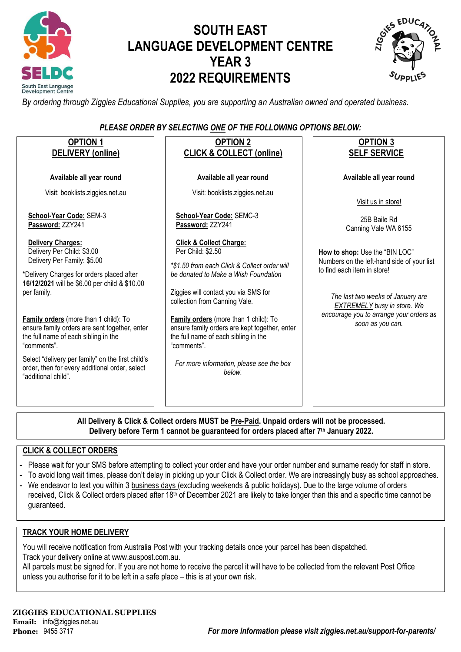

# **SOUTH EAST LANGUAGE DEVELOPMENT CENTRE YEAR 3 2022 REQUIREMENTS**



*By ordering through Ziggies Educational Supplies, you are supporting an Australian owned and operated business.*

## *PLEASE ORDER BY SELECTING ONE OF THE FOLLOWING OPTIONS BELOW:*

| <b>OPTION 1</b>                                                                                                                                                                     | <b>OPTION 2</b>                                                                                                                                                                                                        | <b>OPTION 3</b>                                                                                                                 |
|-------------------------------------------------------------------------------------------------------------------------------------------------------------------------------------|------------------------------------------------------------------------------------------------------------------------------------------------------------------------------------------------------------------------|---------------------------------------------------------------------------------------------------------------------------------|
| <b>DELIVERY</b> (online)                                                                                                                                                            | <b>CLICK &amp; COLLECT (online)</b>                                                                                                                                                                                    | <b>SELF SERVICE</b>                                                                                                             |
| Available all year round                                                                                                                                                            | Available all year round                                                                                                                                                                                               | Available all year round                                                                                                        |
| Visit: booklists.ziggies.net.au                                                                                                                                                     | Visit: booklists.ziggies.net.au                                                                                                                                                                                        | Visit us in store!                                                                                                              |
| School-Year Code: SEM-3<br>Password: ZZY241                                                                                                                                         | School-Year Code: SEMC-3<br>Password: ZZY241                                                                                                                                                                           | 25B Baile Rd<br>Canning Vale WA 6155                                                                                            |
| <b>Delivery Charges:</b><br>Delivery Per Child: \$3.00<br>Delivery Per Family: \$5.00<br>*Delivery Charges for orders placed after<br>16/12/2021 will be \$6.00 per child & \$10.00 | <b>Click &amp; Collect Charge:</b><br>Per Child: \$2.50<br>*\$1.50 from each Click & Collect order will<br>be donated to Make a Wish Foundation                                                                        | How to shop: Use the "BIN LOC"<br>Numbers on the left-hand side of your list<br>to find each item in store!                     |
| per family.<br>Family orders (more than 1 child): To<br>ensure family orders are sent together, enter<br>the full name of each sibling in the<br>"comments".                        | Ziggies will contact you via SMS for<br>collection from Canning Vale.<br>Family orders (more than 1 child): To<br>ensure family orders are kept together, enter<br>the full name of each sibling in the<br>"comments". | The last two weeks of January are<br>EXTREMELY busy in store. We<br>encourage you to arrange your orders as<br>soon as you can. |
| Select "delivery per family" on the first child's<br>order, then for every additional order, select<br>"additional child".                                                          | For more information, please see the box<br>helow.                                                                                                                                                                     |                                                                                                                                 |
|                                                                                                                                                                                     |                                                                                                                                                                                                                        |                                                                                                                                 |

**All Delivery & Click & Collect orders MUST be Pre-Paid. Unpaid orders will not be processed. Delivery before Term 1 cannot be guaranteed for orders placed after 7th January 2022.**

## **CLICK & COLLECT ORDERS**

- Please wait for your SMS before attempting to collect your order and have your order number and surname ready for staff in store.
- To avoid long wait times, please don't delay in picking up your Click & Collect order. We are increasingly busy as school approaches.
- We endeavor to text you within 3 business days (excluding weekends & public holidays). Due to the large volume of orders received, Click & Collect orders placed after 18<sup>th</sup> of December 2021 are likely to take longer than this and a specific time cannot be guaranteed.

### **TRACK YOUR HOME DELIVERY**

You will receive notification from Australia Post with your tracking details once your parcel has been dispatched. Track your delivery online a[t www.auspost.com.au.](http://www.auspost.com.au/)

All parcels must be signed for. If you are not home to receive the parcel it will have to be collected from the relevant Post Office unless you authorise for it to be left in a safe place – this is at your own risk.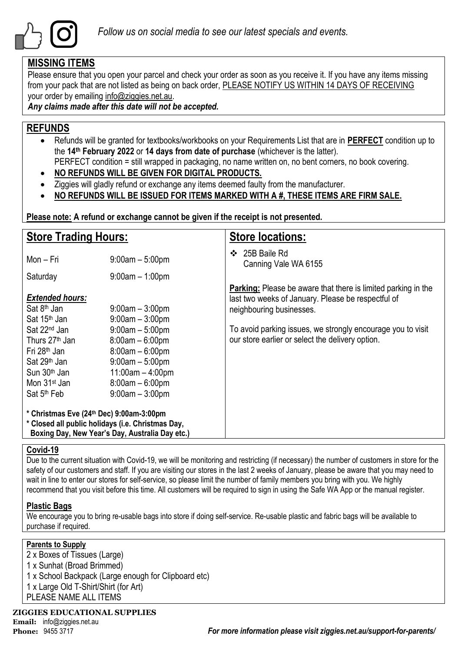

## **MISSING ITEMS**

Please ensure that you open your parcel and check your order as soon as you receive it. If you have any items missing from your pack that are not listed as being on back order, PLEASE NOTIFY US WITHIN 14 DAYS OF RECEIVING your order by emailing info@ziggies.net.au.

*Any claims made after this date will not be accepted.*

## **REFUNDS**

- Refunds will be granted for textbooks/workbooks on your Requirements List that are in **PERFECT** condition up to the **14th February 2022** or **14 days from date of purchase** (whichever is the latter). PERFECT condition = still wrapped in packaging, no name written on, no bent corners, no book covering.
- **NO REFUNDS WILL BE GIVEN FOR DIGITAL PRODUCTS.**
- Ziggies will gladly refund or exchange any items deemed faulty from the manufacturer.
- **NO REFUNDS WILL BE ISSUED FOR ITEMS MARKED WITH A #, THESE ITEMS ARE FIRM SALE.**

**Please note: A refund or exchange cannot be given if the receipt is not presented.**

| <b>Store Trading Hours:</b>                                                                                                                                                                       |                                                                                                                                                  | <b>Store locations:</b>                                                                                                                                |  |  |  |
|---------------------------------------------------------------------------------------------------------------------------------------------------------------------------------------------------|--------------------------------------------------------------------------------------------------------------------------------------------------|--------------------------------------------------------------------------------------------------------------------------------------------------------|--|--|--|
| Mon – Fri                                                                                                                                                                                         | $9:00am - 5:00pm$                                                                                                                                | 25B Baile Rd<br>❖<br>Canning Vale WA 6155                                                                                                              |  |  |  |
| Saturday                                                                                                                                                                                          | $9:00am - 1:00pm$                                                                                                                                |                                                                                                                                                        |  |  |  |
| <b>Extended hours:</b><br>Sat 8 <sup>th</sup> Jan<br>Sat 15 <sup>th</sup> Jan                                                                                                                     | $9:00$ am $-3:00$ pm<br>$9:00am - 3:00pm$                                                                                                        | <b>Parking:</b> Please be aware that there is limited parking in the<br>last two weeks of January. Please be respectful of<br>neighbouring businesses. |  |  |  |
| Sat 22 <sup>nd</sup> Jan<br>Thurs 27 <sup>th</sup> Jan<br>Fri 28 <sup>th</sup> Jan<br>Sat 29 <sup>th</sup> Jan<br>Sun 30 <sup>th</sup> Jan<br>Mon 31 <sup>st</sup> Jan<br>Sat 5 <sup>th</sup> Feb | $9:00am - 5:00pm$<br>$8:00am - 6:00pm$<br>$8:00am - 6:00pm$<br>$9:00am - 5:00pm$<br>$11:00am - 4:00pm$<br>$8:00am - 6:00pm$<br>$9:00am - 3:00pm$ | To avoid parking issues, we strongly encourage you to visit<br>our store earlier or select the delivery option.                                        |  |  |  |
| * Christmas Eve (24th Dec) 9:00am-3:00pm<br>* Closed all public holidays (i.e. Christmas Day,<br>Boxing Day, New Year's Day, Australia Day etc.)                                                  |                                                                                                                                                  |                                                                                                                                                        |  |  |  |

## **Covid-19**

Due to the current situation with Covid-19, we will be monitoring and restricting (if necessary) the number of customers in store for the safety of our customers and staff. If you are visiting our stores in the last 2 weeks of January, please be aware that you may need to wait in line to enter our stores for self-service, so please limit the number of family members you bring with you. We highly recommend that you visit before this time. All customers will be required to sign in using the Safe WA App or the manual register.

## **Plastic Bags**

We encourage you to bring re-usable bags into store if doing self-service. Re-usable plastic and fabric bags will be available to purchase if required.

## **Parents to Supply**

 x Boxes of Tissues (Large) x Sunhat (Broad Brimmed) x School Backpack (Large enough for Clipboard etc) x Large Old T-Shirt/Shirt (for Art) PLEASE NAME ALL ITEMS

**ZIGGIES EDUCATIONAL SUPPLIES**

**Email:** info@ziggies.net.au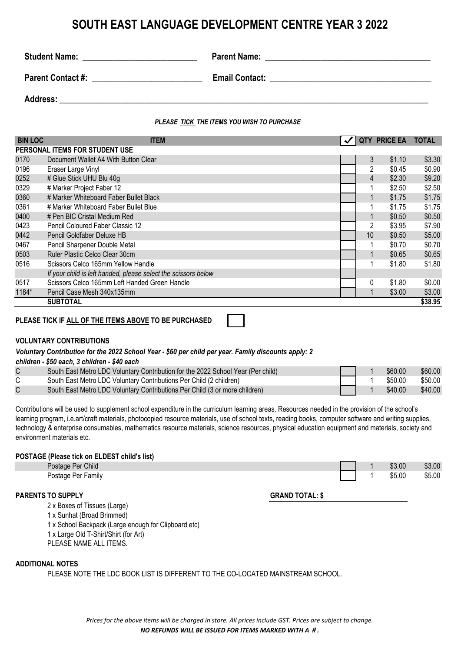## **SOUTH EAST LANGUAGE DEVELOPMENT CENTRE YEAR 3 2022**

| <b>Student Name:</b>     | <b>Parent Name:</b>   |
|--------------------------|-----------------------|
| <b>Parent Contact #:</b> | <b>Email Contact:</b> |
| Address:                 |                       |

### *PLEASE TICK THE ITEMS YOU WISH TO PURCHASE*

| <b>BIN LOC</b>                 | <b>ITEM</b>                                                    |  | <b>QTY</b>     | <b>PRICE EA</b> | <b>TOTAL</b> |  |  |
|--------------------------------|----------------------------------------------------------------|--|----------------|-----------------|--------------|--|--|
| PERSONAL ITEMS FOR STUDENT USE |                                                                |  |                |                 |              |  |  |
| 0170                           | Document Wallet A4 With Button Clear                           |  | 3              | \$1.10          | \$3.30       |  |  |
| 0196                           | Eraser Large Vinyl                                             |  | 2              | \$0.45          | \$0.90       |  |  |
| 0252                           | # Glue Stick UHU Blu 40g                                       |  | 4              | \$2.30          | \$9.20       |  |  |
| 0329                           | # Marker Project Faber 12                                      |  |                | \$2.50          | \$2.50       |  |  |
| 0360                           | # Marker Whiteboard Faber Bullet Black                         |  | $\mathbf 1$    | \$1.75          | \$1.75       |  |  |
| 0361                           | # Marker Whiteboard Faber Bullet Blue                          |  |                | \$1.75          | \$1.75       |  |  |
| 0400                           | # Pen BIC Cristal Medium Red                                   |  |                |                 | \$0.50       |  |  |
| 0423                           | Pencil Coloured Faber Classic 12                               |  | $\overline{2}$ | \$3.95          | \$7.90       |  |  |
| 0442                           | 10 <sup>1</sup><br>\$0.50<br>Pencil Goldfaber Deluxe HB        |  |                |                 | \$5.00       |  |  |
| 0467                           | Pencil Sharpener Double Metal                                  |  | 1              | \$0.70          | \$0.70       |  |  |
| 0503                           | Ruler Plastic Celco Clear 30cm                                 |  | $\mathbf{1}$   | \$0.65          | \$0.65       |  |  |
| 0516                           | Scissors Celco 165mm Yellow Handle                             |  | 1              | \$1.80          | \$1.80       |  |  |
|                                | If your child is left handed, please select the scissors below |  |                |                 |              |  |  |
| 0517                           | Scissors Celco 165mm Left Handed Green Handle                  |  | 0              | \$1.80          | \$0.00       |  |  |
| 1184*                          | Pencil Case Mesh 340x135mm                                     |  | 1              | \$3.00          | \$3.00       |  |  |
|                                | SUBTOTAL                                                       |  |                |                 | \$38.95      |  |  |

**PLEASE TICK IF ALL OF THE ITEMS ABOVE TO BE PURCHASED**

### **VOLUNTARY CONTRIBUTIONS**

### *Voluntary Contribution for the 2022 School Year - \$60 per child per year. Family discounts apply: 2*

*children - \$50 each, 3 children - \$40 each*

| South East Metro LDC Voluntary Contribution for the 2022 School Year (Per child) |  | \$60.00 | \$60.00 |
|----------------------------------------------------------------------------------|--|---------|---------|
| South East Metro LDC Voluntary Contributions Per Child (2 children)              |  | \$50.00 | \$50.00 |
| South East Metro LDC Voluntary Contributions Per Child (3 or more children)      |  | \$40.00 | \$40.00 |

Contributions will be used to supplement school expenditure in the curriculum learning areas. Resources needed in the provision of the school's learning program, i.e.art/craft materials, photocopied resource materials, use of school texts, reading books, computer software and writing supplies, technology & enterprise consumables, mathematics resource materials, science resources, physical education equipment and materials, society and environment materials etc.

### **POSTAGE (Please tick on ELDEST child's list)**

| Postage Per Child  | \$3.00 | \$3.00 |
|--------------------|--------|--------|
| Postage Per Family | \$5.00 | \$5.00 |

### **PARENTS TO SUPPLY GRAND TOTAL: \$**

2 x Boxes of Tissues (Large)

1 x Sunhat (Broad Brimmed)

1 x School Backpack (Large enough for Clipboard etc)

1 x Large Old T-Shirt/Shirt (for Art)

PLEASE NAME ALL ITEMS.

### **ADDITIONAL NOTES**

PLEASE NOTE THE LDC BOOK LIST IS DIFFERENT TO THE CO-LOCATED MAINSTREAM SCHOOL.